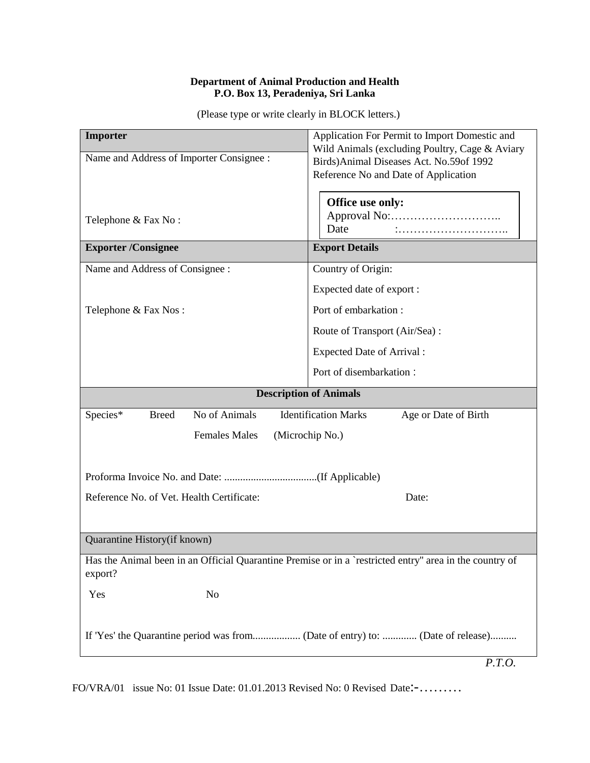#### **Department of Animal Production and Health P.O. Box 13, Peradeniya, Sri Lanka**

(Please type or write clearly in BLOCK letters.)

| Importer<br>Name and Address of Importer Consignee :<br>Telephone & Fax No:                                        | Application For Permit to Import Domestic and<br>Wild Animals (excluding Poultry, Cage & Aviary<br>Birds) Animal Diseases Act. No.59of 1992<br>Reference No and Date of Application<br>Office use only:<br>Date |
|--------------------------------------------------------------------------------------------------------------------|-----------------------------------------------------------------------------------------------------------------------------------------------------------------------------------------------------------------|
| <b>Exporter /Consignee</b>                                                                                         | <b>Export Details</b>                                                                                                                                                                                           |
| Name and Address of Consignee :                                                                                    | Country of Origin:                                                                                                                                                                                              |
|                                                                                                                    | Expected date of export :                                                                                                                                                                                       |
| Telephone & Fax Nos:                                                                                               | Port of embarkation:                                                                                                                                                                                            |
|                                                                                                                    | Route of Transport (Air/Sea):                                                                                                                                                                                   |
|                                                                                                                    | <b>Expected Date of Arrival:</b>                                                                                                                                                                                |
|                                                                                                                    | Port of disembarkation:                                                                                                                                                                                         |
| <b>Description of Animals</b>                                                                                      |                                                                                                                                                                                                                 |
| No of Animals<br>Species*<br><b>Breed</b>                                                                          | <b>Identification Marks</b><br>Age or Date of Birth                                                                                                                                                             |
| <b>Females Males</b><br>(Microchip No.)                                                                            |                                                                                                                                                                                                                 |
| Reference No. of Vet. Health Certificate:<br>Date:                                                                 |                                                                                                                                                                                                                 |
|                                                                                                                    |                                                                                                                                                                                                                 |
| Quarantine History(if known)                                                                                       |                                                                                                                                                                                                                 |
| Has the Animal been in an Official Quarantine Premise or in a `restricted entry" area in the country of<br>export? |                                                                                                                                                                                                                 |
| Yes<br>N <sub>o</sub>                                                                                              |                                                                                                                                                                                                                 |
| P.T.O.                                                                                                             |                                                                                                                                                                                                                 |

FO/VRA/01 issue No: 01 Issue Date: 01.01.2013 Revised No: 0 Revised Date:-………